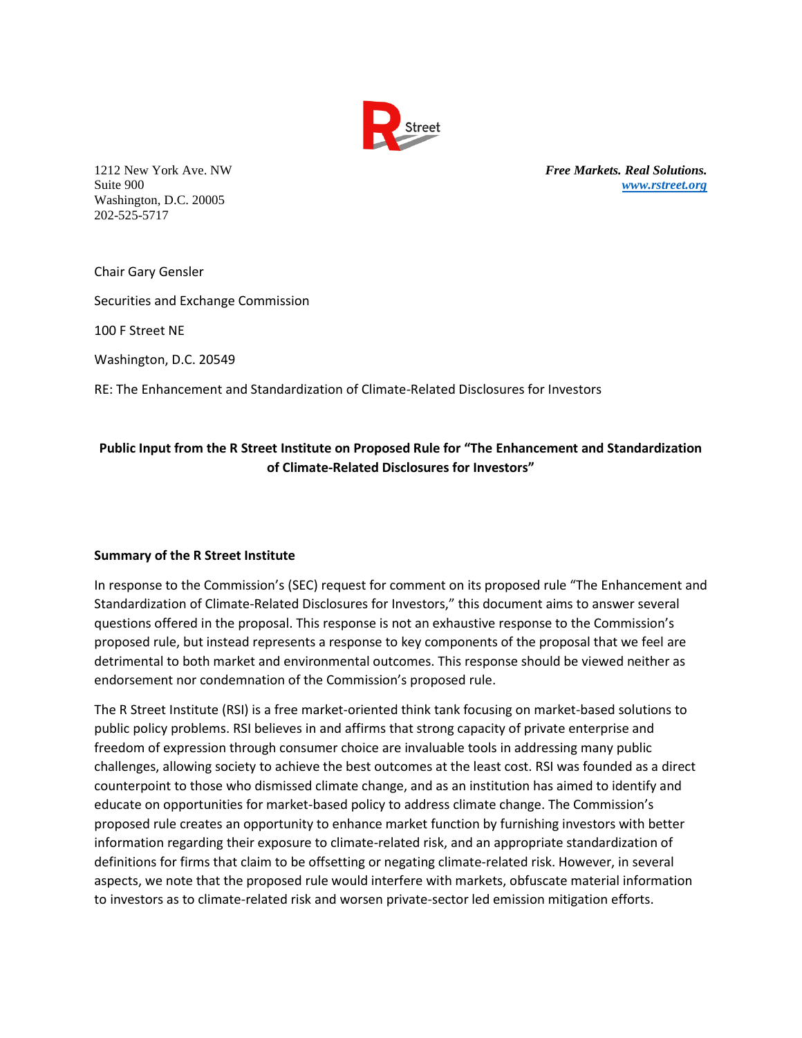

Washington, D.C. 20005 202-525-5717

1212 New York Ave. NW *Free Markets. Real Solutions.* Suite 900 *[www.rstreet.org](http://www.rstreet.org/)*

Chair Gary Gensler

Securities and Exchange Commission

100 F Street NE

Washington, D.C. 20549

RE: The Enhancement and Standardization of Climate-Related Disclosures for Investors

# **Public Input from the R Street Institute on Proposed Rule for "The Enhancement and Standardization of Climate-Related Disclosures for Investors"**

## **Summary of the R Street Institute**

In response to the Commission's (SEC) request for comment on its proposed rule "The Enhancement and Standardization of Climate-Related Disclosures for Investors," this document aims to answer several questions offered in the proposal. This response is not an exhaustive response to the Commission's proposed rule, but instead represents a response to key components of the proposal that we feel are detrimental to both market and environmental outcomes. This response should be viewed neither as endorsement nor condemnation of the Commission's proposed rule.

The R Street Institute (RSI) is a free market-oriented think tank focusing on market-based solutions to public policy problems. RSI believes in and affirms that strong capacity of private enterprise and freedom of expression through consumer choice are invaluable tools in addressing many public challenges, allowing society to achieve the best outcomes at the least cost. RSI was founded as a direct counterpoint to those who dismissed climate change, and as an institution has aimed to identify and educate on opportunities for market-based policy to address climate change. The Commission's proposed rule creates an opportunity to enhance market function by furnishing investors with better information regarding their exposure to climate-related risk, and an appropriate standardization of definitions for firms that claim to be offsetting or negating climate-related risk. However, in several aspects, we note that the proposed rule would interfere with markets, obfuscate material information to investors as to climate-related risk and worsen private-sector led emission mitigation efforts.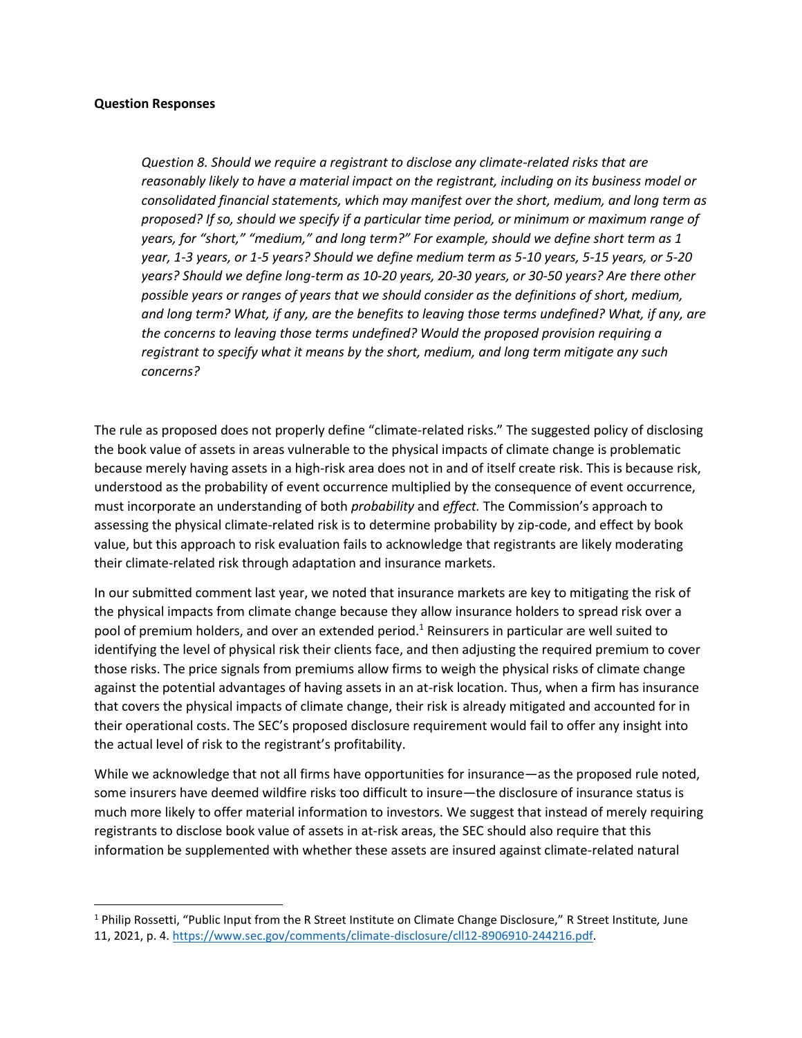### **Question Responses**

*Question 8. Should we require a registrant to disclose any climate-related risks that are reasonably likely to have a material impact on the registrant, including on its business model or consolidated financial statements, which may manifest over the short, medium, and long term as proposed? If so, should we specify if a particular time period, or minimum or maximum range of years, for "short," "medium," and long term?" For example, should we define short term as 1 year, 1-3 years, or 1-5 years? Should we define medium term as 5-10 years, 5-15 years, or 5-20 years? Should we define long-term as 10-20 years, 20-30 years, or 30-50 years? Are there other possible years or ranges of years that we should consider as the definitions of short, medium, and long term? What, if any, are the benefits to leaving those terms undefined? What, if any, are the concerns to leaving those terms undefined? Would the proposed provision requiring a registrant to specify what it means by the short, medium, and long term mitigate any such concerns?*

The rule as proposed does not properly define "climate-related risks." The suggested policy of disclosing the book value of assets in areas vulnerable to the physical impacts of climate change is problematic because merely having assets in a high-risk area does not in and of itself create risk. This is because risk, understood as the probability of event occurrence multiplied by the consequence of event occurrence, must incorporate an understanding of both *probability* and *effect.* The Commission's approach to assessing the physical climate-related risk is to determine probability by zip-code, and effect by book value, but this approach to risk evaluation fails to acknowledge that registrants are likely moderating their climate-related risk through adaptation and insurance markets.

In our submitted comment last year, we noted that insurance markets are key to mitigating the risk of the physical impacts from climate change because they allow insurance holders to spread risk over a pool of premium holders, and over an extended period.<sup>1</sup> Reinsurers in particular are well suited to identifying the level of physical risk their clients face, and then adjusting the required premium to cover those risks. The price signals from premiums allow firms to weigh the physical risks of climate change against the potential advantages of having assets in an at-risk location. Thus, when a firm has insurance that covers the physical impacts of climate change, their risk is already mitigated and accounted for in their operational costs. The SEC's proposed disclosure requirement would fail to offer any insight into the actual level of risk to the registrant's profitability.

While we acknowledge that not all firms have opportunities for insurance—as the proposed rule noted, some insurers have deemed wildfire risks too difficult to insure—the disclosure of insurance status is much more likely to offer material information to investors. We suggest that instead of merely requiring registrants to disclose book value of assets in at-risk areas, the SEC should also require that this information be supplemented with whether these assets are insured against climate-related natural

<sup>1</sup> Philip Rossetti, "Public Input from the R Street Institute on Climate Change Disclosure," R Street Institute*,* June 11, 2021, p. 4. [https://www.sec.gov/comments/climate-disclosure/cll12-8906910-244216.pdf.](https://www.sec.gov/comments/climate-disclosure/cll12-8906910-244216.pdf)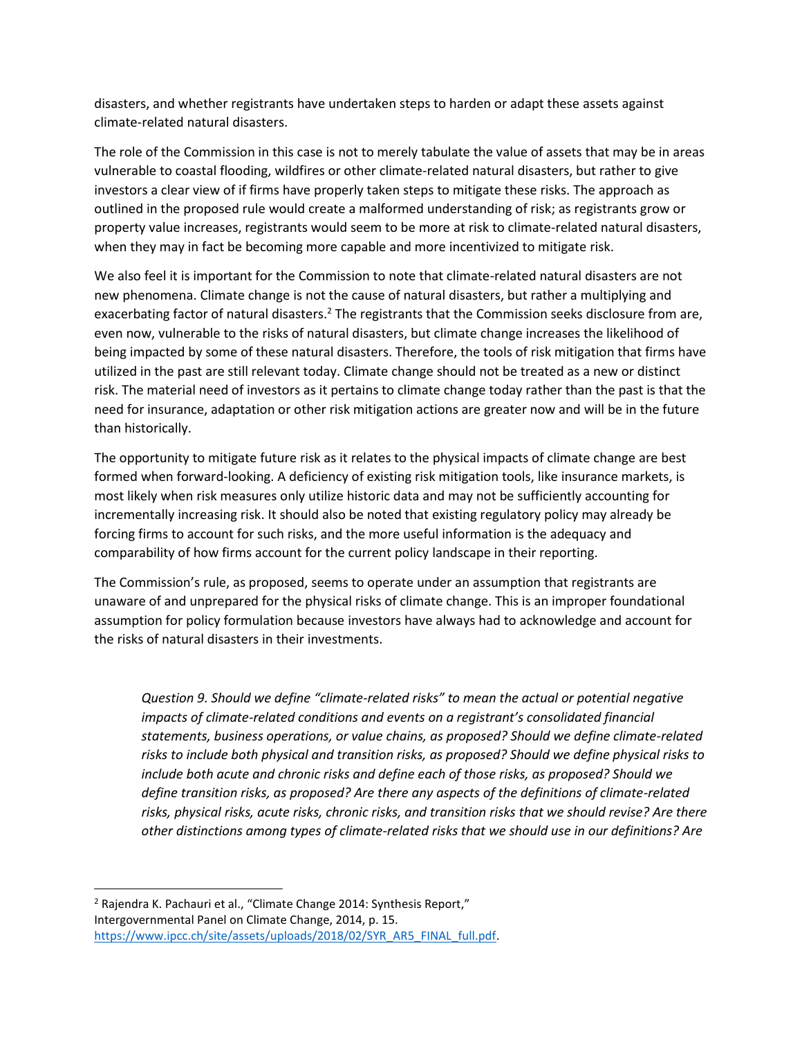disasters, and whether registrants have undertaken steps to harden or adapt these assets against climate-related natural disasters.

The role of the Commission in this case is not to merely tabulate the value of assets that may be in areas vulnerable to coastal flooding, wildfires or other climate-related natural disasters, but rather to give investors a clear view of if firms have properly taken steps to mitigate these risks. The approach as outlined in the proposed rule would create a malformed understanding of risk; as registrants grow or property value increases, registrants would seem to be more at risk to climate-related natural disasters, when they may in fact be becoming more capable and more incentivized to mitigate risk.

We also feel it is important for the Commission to note that climate-related natural disasters are not new phenomena. Climate change is not the cause of natural disasters, but rather a multiplying and exacerbating factor of natural disasters.<sup>2</sup> The registrants that the Commission seeks disclosure from are, even now, vulnerable to the risks of natural disasters, but climate change increases the likelihood of being impacted by some of these natural disasters. Therefore, the tools of risk mitigation that firms have utilized in the past are still relevant today. Climate change should not be treated as a new or distinct risk. The material need of investors as it pertains to climate change today rather than the past is that the need for insurance, adaptation or other risk mitigation actions are greater now and will be in the future than historically.

The opportunity to mitigate future risk as it relates to the physical impacts of climate change are best formed when forward-looking. A deficiency of existing risk mitigation tools, like insurance markets, is most likely when risk measures only utilize historic data and may not be sufficiently accounting for incrementally increasing risk. It should also be noted that existing regulatory policy may already be forcing firms to account for such risks, and the more useful information is the adequacy and comparability of how firms account for the current policy landscape in their reporting.

The Commission's rule, as proposed, seems to operate under an assumption that registrants are unaware of and unprepared for the physical risks of climate change. This is an improper foundational assumption for policy formulation because investors have always had to acknowledge and account for the risks of natural disasters in their investments.

*Question 9. Should we define "climate-related risks" to mean the actual or potential negative impacts of climate-related conditions and events on a registrant's consolidated financial statements, business operations, or value chains, as proposed? Should we define climate-related risks to include both physical and transition risks, as proposed? Should we define physical risks to include both acute and chronic risks and define each of those risks, as proposed? Should we define transition risks, as proposed? Are there any aspects of the definitions of climate-related risks, physical risks, acute risks, chronic risks, and transition risks that we should revise? Are there other distinctions among types of climate-related risks that we should use in our definitions? Are* 

<sup>&</sup>lt;sup>2</sup> Rajendra K. Pachauri et al., "Climate Change 2014: Synthesis Report," Intergovernmental Panel on Climate Change, 2014, p. 15. [https://www.ipcc.ch/site/assets/uploads/2018/02/SYR\\_AR5\\_FINAL\\_full.pdf.](https://www.ipcc.ch/site/assets/uploads/2018/02/SYR_AR5_FINAL_full.pdf)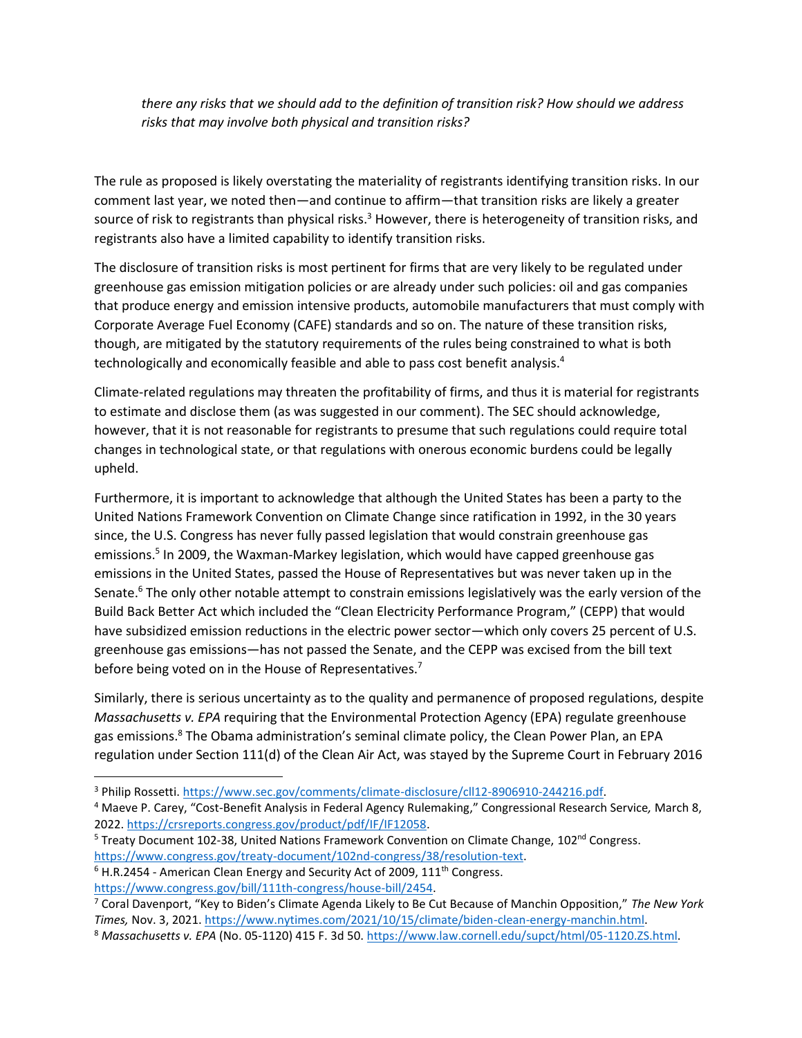*there any risks that we should add to the definition of transition risk? How should we address risks that may involve both physical and transition risks?*

The rule as proposed is likely overstating the materiality of registrants identifying transition risks. In our comment last year, we noted then—and continue to affirm—that transition risks are likely a greater source of risk to registrants than physical risks.<sup>3</sup> However, there is heterogeneity of transition risks, and registrants also have a limited capability to identify transition risks.

The disclosure of transition risks is most pertinent for firms that are very likely to be regulated under greenhouse gas emission mitigation policies or are already under such policies: oil and gas companies that produce energy and emission intensive products, automobile manufacturers that must comply with Corporate Average Fuel Economy (CAFE) standards and so on. The nature of these transition risks, though, are mitigated by the statutory requirements of the rules being constrained to what is both technologically and economically feasible and able to pass cost benefit analysis. 4

Climate-related regulations may threaten the profitability of firms, and thus it is material for registrants to estimate and disclose them (as was suggested in our comment). The SEC should acknowledge, however, that it is not reasonable for registrants to presume that such regulations could require total changes in technological state, or that regulations with onerous economic burdens could be legally upheld.

Furthermore, it is important to acknowledge that although the United States has been a party to the United Nations Framework Convention on Climate Change since ratification in 1992, in the 30 years since, the U.S. Congress has never fully passed legislation that would constrain greenhouse gas emissions.<sup>5</sup> In 2009, the Waxman-Markey legislation, which would have capped greenhouse gas emissions in the United States, passed the House of Representatives but was never taken up in the Senate.<sup>6</sup> The only other notable attempt to constrain emissions legislatively was the early version of the Build Back Better Act which included the "Clean Electricity Performance Program," (CEPP) that would have subsidized emission reductions in the electric power sector—which only covers 25 percent of U.S. greenhouse gas emissions—has not passed the Senate, and the CEPP was excised from the bill text before being voted on in the House of Representatives.<sup>7</sup>

Similarly, there is serious uncertainty as to the quality and permanence of proposed regulations, despite *Massachusetts v. EPA* requiring that the Environmental Protection Agency (EPA) regulate greenhouse gas emissions.<sup>8</sup> The Obama administration's seminal climate policy, the Clean Power Plan, an EPA regulation under Section 111(d) of the Clean Air Act, was stayed by the Supreme Court in February 2016

[https://www.congress.gov/bill/111th-congress/house-bill/2454.](https://www.congress.gov/bill/111th-congress/house-bill/2454)

<sup>3</sup> Philip Rossetti[. https://www.sec.gov/comments/climate-disclosure/cll12-8906910-244216.pdf.](https://www.sec.gov/comments/climate-disclosure/cll12-8906910-244216.pdf)

<sup>4</sup> Maeve P. Carey, "Cost-Benefit Analysis in Federal Agency Rulemaking," Congressional Research Service*,* March 8, 2022. [https://crsreports.congress.gov/product/pdf/IF/IF12058.](https://crsreports.congress.gov/product/pdf/IF/IF12058)

<sup>&</sup>lt;sup>5</sup> Treaty Document 102-38, United Nations Framework Convention on Climate Change, 102<sup>nd</sup> Congress. [https://www.congress.gov/treaty-document/102nd-congress/38/resolution-text.](https://www.congress.gov/treaty-document/102nd-congress/38/resolution-text)

 $6$  H.R.2454 - American Clean Energy and Security Act of 2009,  $111<sup>th</sup>$  Congress.

<sup>7</sup> Coral Davenport, "Key to Biden's Climate Agenda Likely to Be Cut Because of Manchin Opposition," *The New York Times,* Nov. 3, 2021[. https://www.nytimes.com/2021/10/15/climate/biden-clean-energy-manchin.html.](https://www.nytimes.com/2021/10/15/climate/biden-clean-energy-manchin.html)

<sup>8</sup> Massachusetts v. EPA (No. 05-1120) 415 F. 3d 50. [https://www.law.cornell.edu/supct/html/05-1120.ZS.html.](https://www.law.cornell.edu/supct/html/05-1120.ZS.html)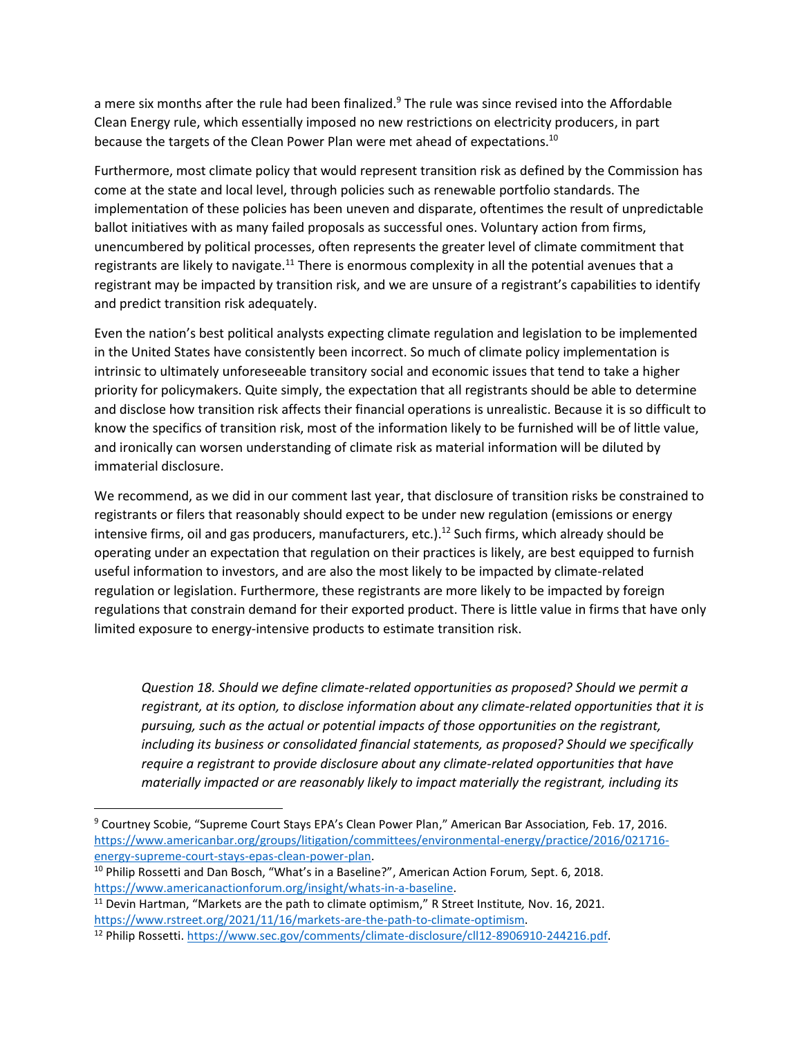a mere six months after the rule had been finalized. $9$  The rule was since revised into the Affordable Clean Energy rule, which essentially imposed no new restrictions on electricity producers, in part because the targets of the Clean Power Plan were met ahead of expectations.<sup>10</sup>

Furthermore, most climate policy that would represent transition risk as defined by the Commission has come at the state and local level, through policies such as renewable portfolio standards. The implementation of these policies has been uneven and disparate, oftentimes the result of unpredictable ballot initiatives with as many failed proposals as successful ones. Voluntary action from firms, unencumbered by political processes, often represents the greater level of climate commitment that registrants are likely to navigate.<sup>11</sup> There is enormous complexity in all the potential avenues that a registrant may be impacted by transition risk, and we are unsure of a registrant's capabilities to identify and predict transition risk adequately.

Even the nation's best political analysts expecting climate regulation and legislation to be implemented in the United States have consistently been incorrect. So much of climate policy implementation is intrinsic to ultimately unforeseeable transitory social and economic issues that tend to take a higher priority for policymakers. Quite simply, the expectation that all registrants should be able to determine and disclose how transition risk affects their financial operations is unrealistic. Because it is so difficult to know the specifics of transition risk, most of the information likely to be furnished will be of little value, and ironically can worsen understanding of climate risk as material information will be diluted by immaterial disclosure.

We recommend, as we did in our comment last year, that disclosure of transition risks be constrained to registrants or filers that reasonably should expect to be under new regulation (emissions or energy intensive firms, oil and gas producers, manufacturers, etc.).<sup>12</sup> Such firms, which already should be operating under an expectation that regulation on their practices is likely, are best equipped to furnish useful information to investors, and are also the most likely to be impacted by climate-related regulation or legislation. Furthermore, these registrants are more likely to be impacted by foreign regulations that constrain demand for their exported product. There is little value in firms that have only limited exposure to energy-intensive products to estimate transition risk.

*Question 18. Should we define climate-related opportunities as proposed? Should we permit a registrant, at its option, to disclose information about any climate-related opportunities that it is pursuing, such as the actual or potential impacts of those opportunities on the registrant, including its business or consolidated financial statements, as proposed? Should we specifically require a registrant to provide disclosure about any climate-related opportunities that have materially impacted or are reasonably likely to impact materially the registrant, including its* 

<sup>9</sup> Courtney Scobie, "Supreme Court Stays EPA's Clean Power Plan," American Bar Association*,* Feb. 17, 2016. [https://www.americanbar.org/groups/litigation/committees/environmental-energy/practice/2016/021716](https://www.americanbar.org/groups/litigation/committees/environmental-energy/practice/2016/021716-energy-supreme-court-stays-epas-clean-power-plan/) [energy-supreme-court-stays-epas-clean-power-plan.](https://www.americanbar.org/groups/litigation/committees/environmental-energy/practice/2016/021716-energy-supreme-court-stays-epas-clean-power-plan/)

<sup>10</sup> Philip Rossetti and Dan Bosch, "What's in a Baseline?", American Action Forum*,* Sept. 6, 2018. [https://www.americanactionforum.org/insight/whats-in-a-baseline.](https://www.americanactionforum.org/insight/whats-in-a-baseline/)

<sup>11</sup> Devin Hartman, "Markets are the path to climate optimism," R Street Institute*,* Nov. 16, 2021. [https://www.rstreet.org/2021/11/16/markets-are-the-path-to-climate-optimism.](https://www.rstreet.org/2021/11/16/markets-are-the-path-to-climate-optimism/)

<sup>&</sup>lt;sup>12</sup> Philip Rossetti. [https://www.sec.gov/comments/climate-disclosure/cll12-8906910-244216.pdf.](https://www.sec.gov/comments/climate-disclosure/cll12-8906910-244216.pdf)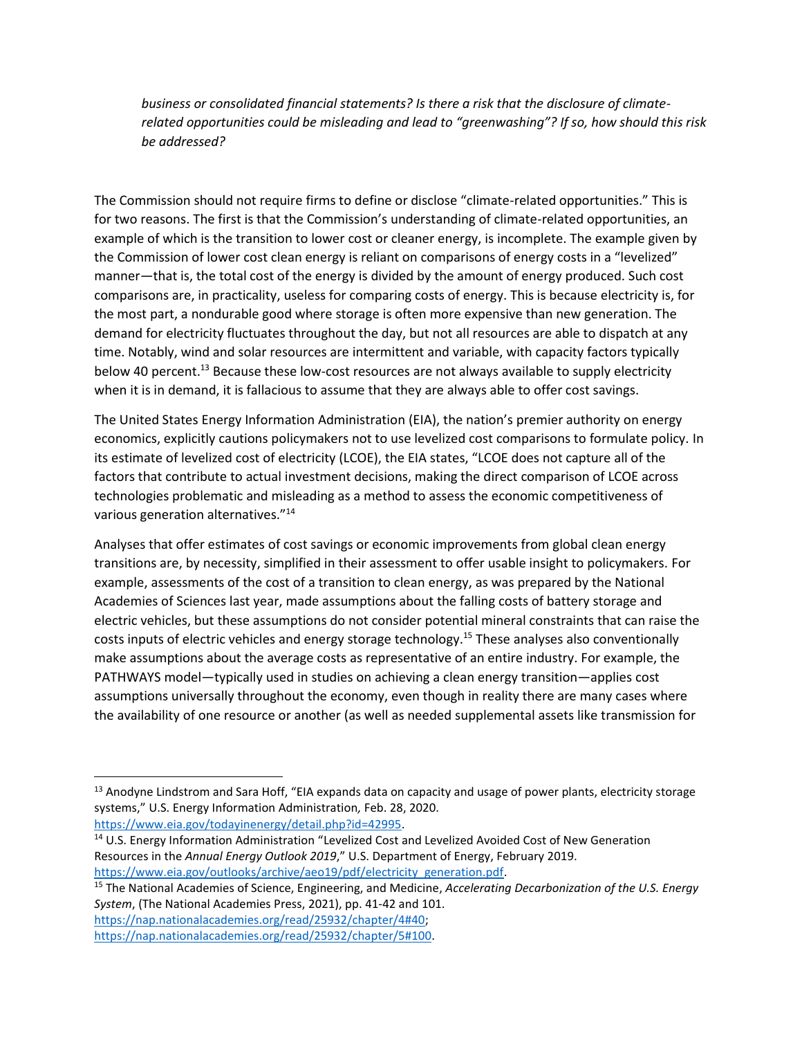*business or consolidated financial statements? Is there a risk that the disclosure of climaterelated opportunities could be misleading and lead to "greenwashing"? If so, how should this risk be addressed?*

The Commission should not require firms to define or disclose "climate-related opportunities." This is for two reasons. The first is that the Commission's understanding of climate-related opportunities, an example of which is the transition to lower cost or cleaner energy, is incomplete. The example given by the Commission of lower cost clean energy is reliant on comparisons of energy costs in a "levelized" manner—that is, the total cost of the energy is divided by the amount of energy produced. Such cost comparisons are, in practicality, useless for comparing costs of energy. This is because electricity is, for the most part, a nondurable good where storage is often more expensive than new generation. The demand for electricity fluctuates throughout the day, but not all resources are able to dispatch at any time. Notably, wind and solar resources are intermittent and variable, with capacity factors typically below 40 percent.<sup>13</sup> Because these low-cost resources are not always available to supply electricity when it is in demand, it is fallacious to assume that they are always able to offer cost savings.

The United States Energy Information Administration (EIA), the nation's premier authority on energy economics, explicitly cautions policymakers not to use levelized cost comparisons to formulate policy. In its estimate of levelized cost of electricity (LCOE), the EIA states, "LCOE does not capture all of the factors that contribute to actual investment decisions, making the direct comparison of LCOE across technologies problematic and misleading as a method to assess the economic competitiveness of various generation alternatives."<sup>14</sup>

Analyses that offer estimates of cost savings or economic improvements from global clean energy transitions are, by necessity, simplified in their assessment to offer usable insight to policymakers. For example, assessments of the cost of a transition to clean energy, as was prepared by the National Academies of Sciences last year, made assumptions about the falling costs of battery storage and electric vehicles, but these assumptions do not consider potential mineral constraints that can raise the costs inputs of electric vehicles and energy storage technology.<sup>15</sup> These analyses also conventionally make assumptions about the average costs as representative of an entire industry. For example, the PATHWAYS model—typically used in studies on achieving a clean energy transition—applies cost assumptions universally throughout the economy, even though in reality there are many cases where the availability of one resource or another (as well as needed supplemental assets like transmission for

[https://www.eia.gov/todayinenergy/detail.php?id=42995.](https://www.eia.gov/todayinenergy/detail.php?id=42995)

<sup>14</sup> U.S. Energy Information Administration "Levelized Cost and Levelized Avoided Cost of New Generation Resources in the *Annual Energy Outlook 2019*," U.S. Department of Energy, February 2019. [https://www.eia.gov/outlooks/archive/aeo19/pdf/electricity\\_generation.pdf.](https://www.eia.gov/outlooks/archive/aeo19/pdf/electricity_generation.pdf)

<sup>&</sup>lt;sup>13</sup> Anodyne Lindstrom and Sara Hoff, "EIA expands data on capacity and usage of power plants, electricity storage systems," U.S. Energy Information Administration*,* Feb. 28, 2020.

<sup>15</sup> The National Academies of Science, Engineering, and Medicine, *Accelerating Decarbonization of the U.S. Energy System*, (The National Academies Press, 2021), pp. 41-42 and 101. [https://nap.nationalacademies.org/read/25932/chapter/4#40;](https://nap.nationalacademies.org/read/25932/chapter/4#40)

[https://nap.nationalacademies.org/read/25932/chapter/5#100.](https://nap.nationalacademies.org/read/25932/chapter/5#100)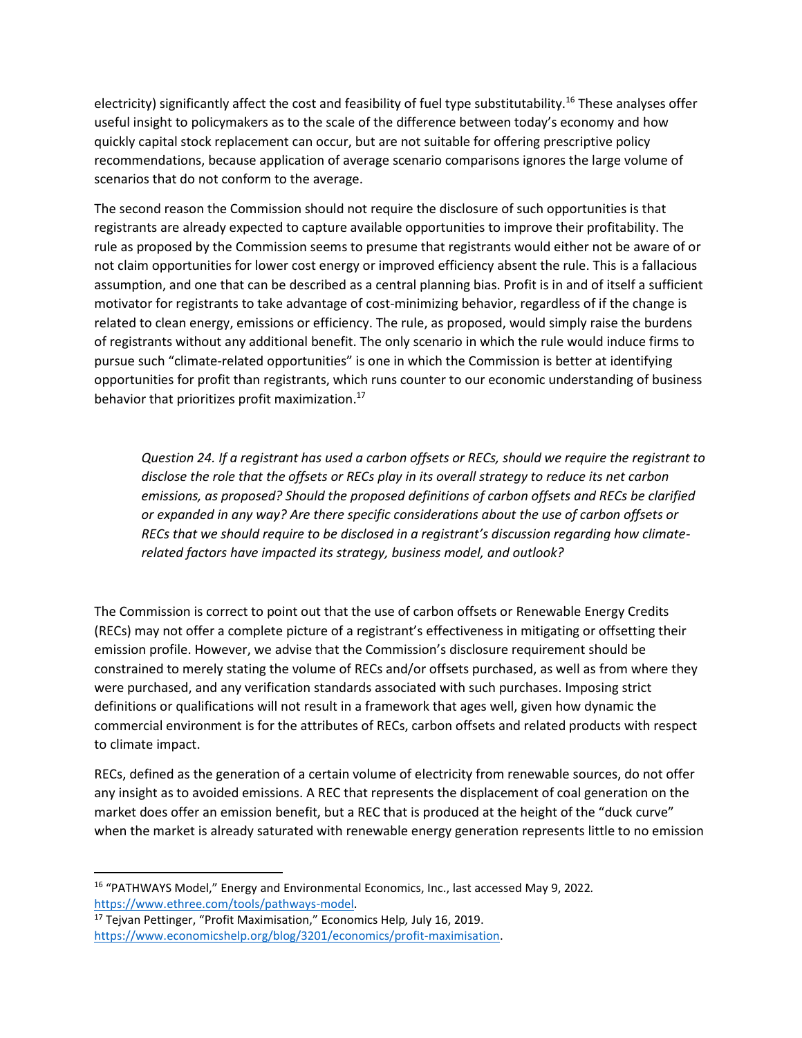electricity) significantly affect the cost and feasibility of fuel type substitutability.<sup>16</sup> These analyses offer useful insight to policymakers as to the scale of the difference between today's economy and how quickly capital stock replacement can occur, but are not suitable for offering prescriptive policy recommendations, because application of average scenario comparisons ignores the large volume of scenarios that do not conform to the average.

The second reason the Commission should not require the disclosure of such opportunities is that registrants are already expected to capture available opportunities to improve their profitability. The rule as proposed by the Commission seems to presume that registrants would either not be aware of or not claim opportunities for lower cost energy or improved efficiency absent the rule. This is a fallacious assumption, and one that can be described as a central planning bias. Profit is in and of itself a sufficient motivator for registrants to take advantage of cost-minimizing behavior, regardless of if the change is related to clean energy, emissions or efficiency. The rule, as proposed, would simply raise the burdens of registrants without any additional benefit. The only scenario in which the rule would induce firms to pursue such "climate-related opportunities" is one in which the Commission is better at identifying opportunities for profit than registrants, which runs counter to our economic understanding of business behavior that prioritizes profit maximization. 17

*Question 24. If a registrant has used a carbon offsets or RECs, should we require the registrant to disclose the role that the offsets or RECs play in its overall strategy to reduce its net carbon emissions, as proposed? Should the proposed definitions of carbon offsets and RECs be clarified or expanded in any way? Are there specific considerations about the use of carbon offsets or RECs that we should require to be disclosed in a registrant's discussion regarding how climaterelated factors have impacted its strategy, business model, and outlook?*

The Commission is correct to point out that the use of carbon offsets or Renewable Energy Credits (RECs) may not offer a complete picture of a registrant's effectiveness in mitigating or offsetting their emission profile. However, we advise that the Commission's disclosure requirement should be constrained to merely stating the volume of RECs and/or offsets purchased, as well as from where they were purchased, and any verification standards associated with such purchases. Imposing strict definitions or qualifications will not result in a framework that ages well, given how dynamic the commercial environment is for the attributes of RECs, carbon offsets and related products with respect to climate impact.

RECs, defined as the generation of a certain volume of electricity from renewable sources, do not offer any insight as to avoided emissions. A REC that represents the displacement of coal generation on the market does offer an emission benefit, but a REC that is produced at the height of the "duck curve" when the market is already saturated with renewable energy generation represents little to no emission

<sup>16</sup> "PATHWAYS Model," Energy and Environmental Economics, Inc., last accessed May 9, 2022*.*  [https://www.ethree.com/tools/pathways-model.](https://www.ethree.com/tools/pathways-model)

<sup>17</sup> Tejvan Pettinger, "Profit Maximisation," Economics Help*,* July 16, 2019. [https://www.economicshelp.org/blog/3201/economics/profit-maximisation.](https://www.economicshelp.org/blog/3201/economics/profit-maximisation/)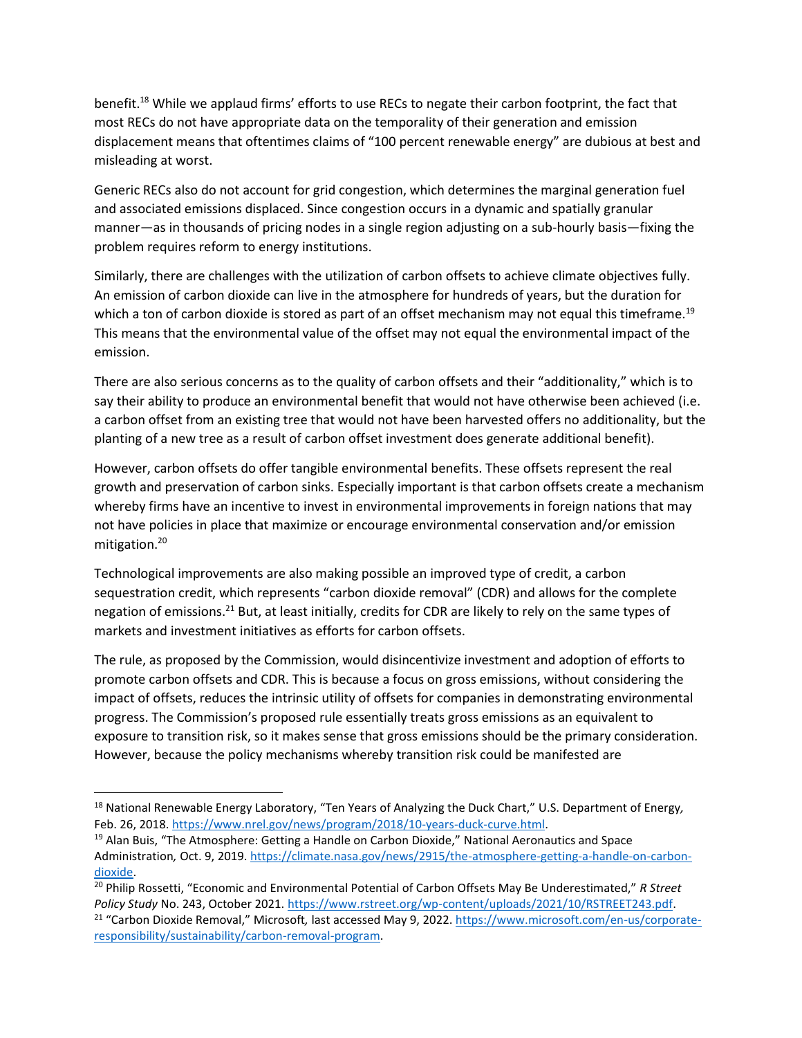benefit.<sup>18</sup> While we applaud firms' efforts to use RECs to negate their carbon footprint, the fact that most RECs do not have appropriate data on the temporality of their generation and emission displacement means that oftentimes claims of "100 percent renewable energy" are dubious at best and misleading at worst.

Generic RECs also do not account for grid congestion, which determines the marginal generation fuel and associated emissions displaced. Since congestion occurs in a dynamic and spatially granular manner—as in thousands of pricing nodes in a single region adjusting on a sub-hourly basis—fixing the problem requires reform to energy institutions.

Similarly, there are challenges with the utilization of carbon offsets to achieve climate objectives fully. An emission of carbon dioxide can live in the atmosphere for hundreds of years, but the duration for which a ton of carbon dioxide is stored as part of an offset mechanism may not equal this timeframe.<sup>19</sup> This means that the environmental value of the offset may not equal the environmental impact of the emission.

There are also serious concerns as to the quality of carbon offsets and their "additionality," which is to say their ability to produce an environmental benefit that would not have otherwise been achieved (i.e. a carbon offset from an existing tree that would not have been harvested offers no additionality, but the planting of a new tree as a result of carbon offset investment does generate additional benefit).

However, carbon offsets do offer tangible environmental benefits. These offsets represent the real growth and preservation of carbon sinks. Especially important is that carbon offsets create a mechanism whereby firms have an incentive to invest in environmental improvements in foreign nations that may not have policies in place that maximize or encourage environmental conservation and/or emission mitigation.<sup>20</sup>

Technological improvements are also making possible an improved type of credit, a carbon sequestration credit, which represents "carbon dioxide removal" (CDR) and allows for the complete negation of emissions.<sup>21</sup> But, at least initially, credits for CDR are likely to rely on the same types of markets and investment initiatives as efforts for carbon offsets.

The rule, as proposed by the Commission, would disincentivize investment and adoption of efforts to promote carbon offsets and CDR. This is because a focus on gross emissions, without considering the impact of offsets, reduces the intrinsic utility of offsets for companies in demonstrating environmental progress. The Commission's proposed rule essentially treats gross emissions as an equivalent to exposure to transition risk, so it makes sense that gross emissions should be the primary consideration. However, because the policy mechanisms whereby transition risk could be manifested are

<sup>18</sup> National Renewable Energy Laboratory, "Ten Years of Analyzing the Duck Chart," U.S. Department of Energy*,*  Feb. 26, 2018[. https://www.nrel.gov/news/program/2018/10-years-duck-curve.html.](https://www.nrel.gov/news/program/2018/10-years-duck-curve.html)

<sup>&</sup>lt;sup>19</sup> Alan Buis, "The Atmosphere: Getting a Handle on Carbon Dioxide," National Aeronautics and Space Administration, Oct. 9, 2019. [https://climate.nasa.gov/news/2915/the-atmosphere-getting-a-handle-on-carbon](https://climate.nasa.gov/news/2915/the-atmosphere-getting-a-handle-on-carbon-dioxide)[dioxide.](https://climate.nasa.gov/news/2915/the-atmosphere-getting-a-handle-on-carbon-dioxide)

<sup>20</sup> Philip Rossetti, "Economic and Environmental Potential of Carbon Offsets May Be Underestimated," *R Street Policy Study* No. 243, October 2021. [https://www.rstreet.org/wp-content/uploads/2021/10/RSTREET243.pdf.](https://www.rstreet.org/wp-content/uploads/2021/10/RSTREET243.pdf) <sup>21</sup> "Carbon Dioxide Removal," Microsoft*,* last accessed May 9, 2022. [https://www.microsoft.com/en-us/corporate](https://www.microsoft.com/en-us/corporate-responsibility/sustainability/carbon-removal-program)[responsibility/sustainability/carbon-removal-program.](https://www.microsoft.com/en-us/corporate-responsibility/sustainability/carbon-removal-program)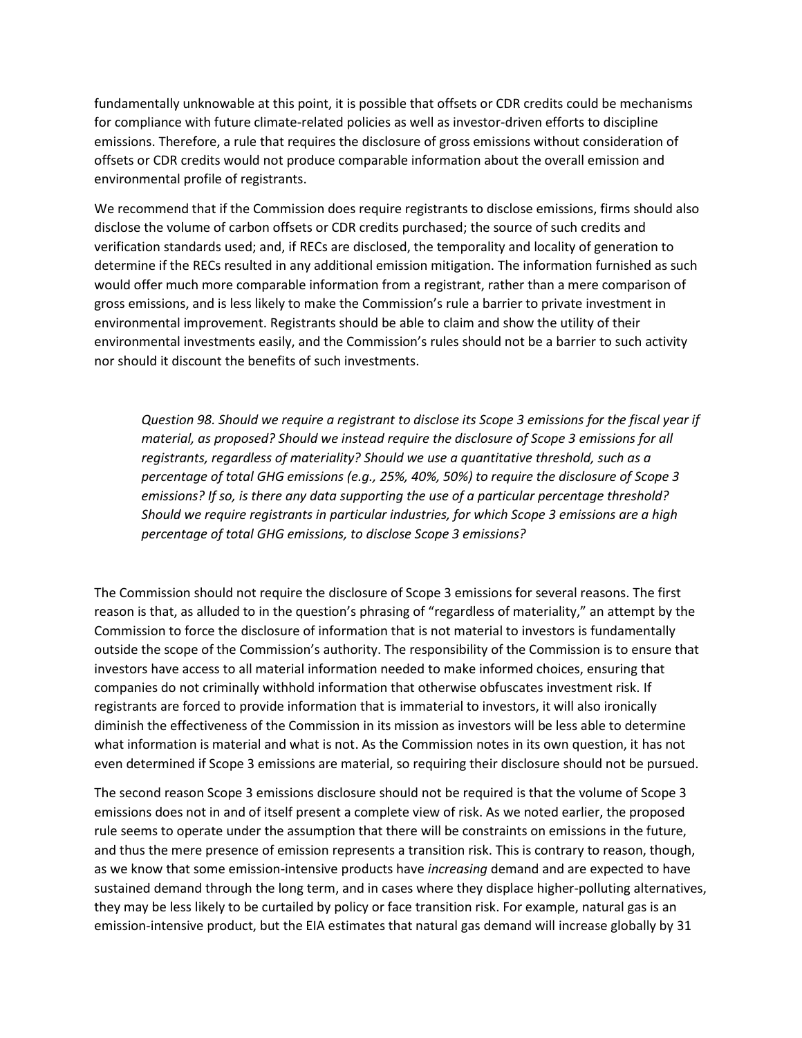fundamentally unknowable at this point, it is possible that offsets or CDR credits could be mechanisms for compliance with future climate-related policies as well as investor-driven efforts to discipline emissions. Therefore, a rule that requires the disclosure of gross emissions without consideration of offsets or CDR credits would not produce comparable information about the overall emission and environmental profile of registrants.

We recommend that if the Commission does require registrants to disclose emissions, firms should also disclose the volume of carbon offsets or CDR credits purchased; the source of such credits and verification standards used; and, if RECs are disclosed, the temporality and locality of generation to determine if the RECs resulted in any additional emission mitigation. The information furnished as such would offer much more comparable information from a registrant, rather than a mere comparison of gross emissions, and is less likely to make the Commission's rule a barrier to private investment in environmental improvement. Registrants should be able to claim and show the utility of their environmental investments easily, and the Commission's rules should not be a barrier to such activity nor should it discount the benefits of such investments.

*Question 98. Should we require a registrant to disclose its Scope 3 emissions for the fiscal year if material, as proposed? Should we instead require the disclosure of Scope 3 emissions for all registrants, regardless of materiality? Should we use a quantitative threshold, such as a percentage of total GHG emissions (e.g., 25%, 40%, 50%) to require the disclosure of Scope 3 emissions? If so, is there any data supporting the use of a particular percentage threshold? Should we require registrants in particular industries, for which Scope 3 emissions are a high percentage of total GHG emissions, to disclose Scope 3 emissions?*

The Commission should not require the disclosure of Scope 3 emissions for several reasons. The first reason is that, as alluded to in the question's phrasing of "regardless of materiality," an attempt by the Commission to force the disclosure of information that is not material to investors is fundamentally outside the scope of the Commission's authority. The responsibility of the Commission is to ensure that investors have access to all material information needed to make informed choices, ensuring that companies do not criminally withhold information that otherwise obfuscates investment risk. If registrants are forced to provide information that is immaterial to investors, it will also ironically diminish the effectiveness of the Commission in its mission as investors will be less able to determine what information is material and what is not. As the Commission notes in its own question, it has not even determined if Scope 3 emissions are material, so requiring their disclosure should not be pursued.

The second reason Scope 3 emissions disclosure should not be required is that the volume of Scope 3 emissions does not in and of itself present a complete view of risk. As we noted earlier, the proposed rule seems to operate under the assumption that there will be constraints on emissions in the future, and thus the mere presence of emission represents a transition risk. This is contrary to reason, though, as we know that some emission-intensive products have *increasing* demand and are expected to have sustained demand through the long term, and in cases where they displace higher-polluting alternatives, they may be less likely to be curtailed by policy or face transition risk. For example, natural gas is an emission-intensive product, but the EIA estimates that natural gas demand will increase globally by 31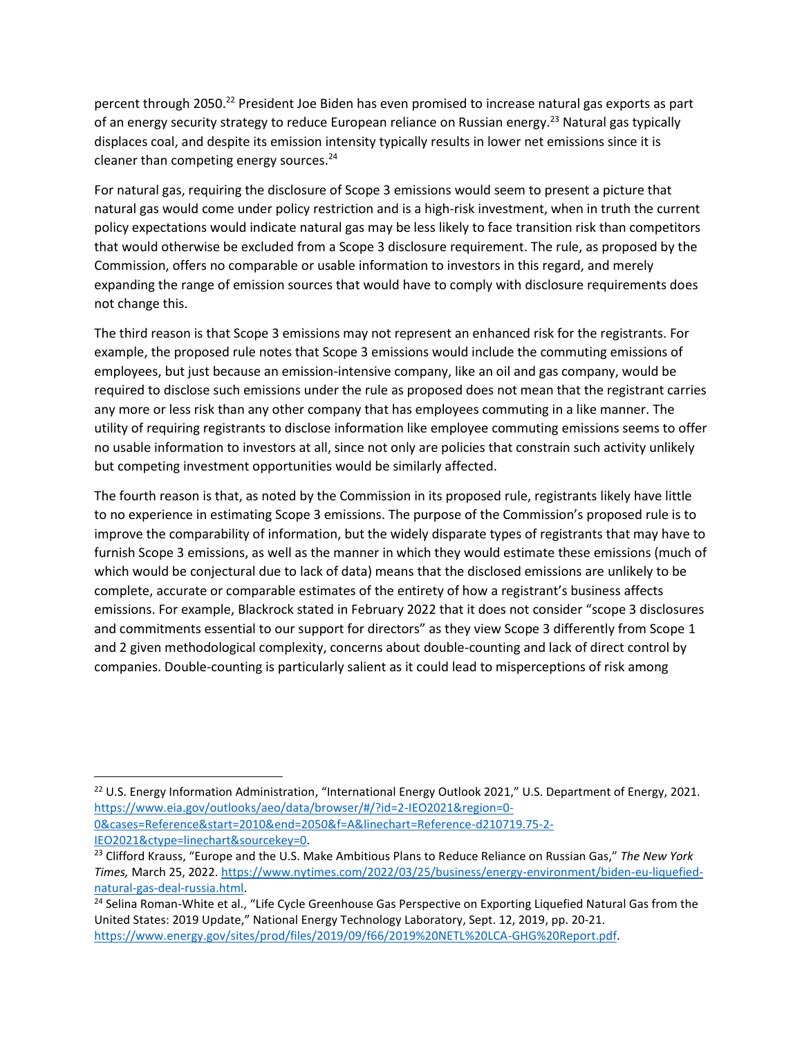percent through 2050.<sup>22</sup> President Joe Biden has even promised to increase natural gas exports as part of an energy security strategy to reduce European reliance on Russian energy.<sup>23</sup> Natural gas typically displaces coal, and despite its emission intensity typically results in lower net emissions since it is cleaner than competing energy sources. $24$ 

For natural gas, requiring the disclosure of Scope 3 emissions would seem to present a picture that natural gas would come under policy restriction and is a high-risk investment, when in truth the current policy expectations would indicate natural gas may be less likely to face transition risk than competitors that would otherwise be excluded from a Scope 3 disclosure requirement. The rule, as proposed by the Commission, offers no comparable or usable information to investors in this regard, and merely expanding the range of emission sources that would have to comply with disclosure requirements does not change this.

The third reason is that Scope 3 emissions may not represent an enhanced risk for the registrants. For example, the proposed rule notes that Scope 3 emissions would include the commuting emissions of employees, but just because an emission-intensive company, like an oil and gas company, would be required to disclose such emissions under the rule as proposed does not mean that the registrant carries any more or less risk than any other company that has employees commuting in a like manner. The utility of requiring registrants to disclose information like employee commuting emissions seems to offer no usable information to investors at all, since not only are policies that constrain such activity unlikely but competing investment opportunities would be similarly affected.

The fourth reason is that, as noted by the Commission in its proposed rule, registrants likely have little to no experience in estimating Scope 3 emissions. The purpose of the Commission's proposed rule is to improve the comparability of information, but the widely disparate types of registrants that may have to furnish Scope 3 emissions, as well as the manner in which they would estimate these emissions (much of which would be conjectural due to lack of data) means that the disclosed emissions are unlikely to be complete, accurate or comparable estimates of the entirety of how a registrant's business affects emissions. For example, Blackrock stated in February 2022 that it does not consider "scope 3 disclosures and commitments essential to our support for directors" as they view Scope 3 differently from Scope 1 and 2 given methodological complexity, concerns about double-counting and lack of direct control by companies. Double-counting is particularly salient as it could lead to misperceptions of risk among

[IEO2021&ctype=linechart&sourcekey=0.](https://www.eia.gov/outlooks/aeo/data/browser/#/?id=2-IEO2021®ion=0-0&cases=Reference&start=2010&end=2050&f=A&linechart=Reference-d210719.75-2-IEO2021&ctype=linechart&sourcekey=0)

<sup>&</sup>lt;sup>22</sup> U.S. Energy Information Administration, "International Energy Outlook 2021," U.S. Department of Energy, 2021. [https://www.eia.gov/outlooks/aeo/data/browser/#/?id=2-IEO2021&region=0-](https://www.eia.gov/outlooks/aeo/data/browser/#/?id=2-IEO2021®ion=0-0&cases=Reference&start=2010&end=2050&f=A&linechart=Reference-d210719.75-2-IEO2021&ctype=linechart&sourcekey=0) [0&cases=Reference&start=2010&end=2050&f=A&linechart=Reference-d210719.75-2-](https://www.eia.gov/outlooks/aeo/data/browser/#/?id=2-IEO2021®ion=0-0&cases=Reference&start=2010&end=2050&f=A&linechart=Reference-d210719.75-2-IEO2021&ctype=linechart&sourcekey=0)

<sup>23</sup> Clifford Krauss, "Europe and the U.S. Make Ambitious Plans to Reduce Reliance on Russian Gas," *The New York Times,* March 25, 2022. [https://www.nytimes.com/2022/03/25/business/energy-environment/biden-eu-liquefied](https://www.nytimes.com/2022/03/25/business/energy-environment/biden-eu-liquefied-natural-gas-deal-russia.html)[natural-gas-deal-russia.html.](https://www.nytimes.com/2022/03/25/business/energy-environment/biden-eu-liquefied-natural-gas-deal-russia.html)

<sup>&</sup>lt;sup>24</sup> Selina Roman-White et al., "Life Cycle Greenhouse Gas Perspective on Exporting Liquefied Natural Gas from the United States: 2019 Update," National Energy Technology Laboratory, Sept. 12, 2019, pp. 20-21. [https://www.energy.gov/sites/prod/files/2019/09/f66/2019%20NETL%20LCA-GHG%20Report.pdf.](https://www.energy.gov/sites/prod/files/2019/09/f66/2019%20NETL%20LCA-GHG%20Report.pdf)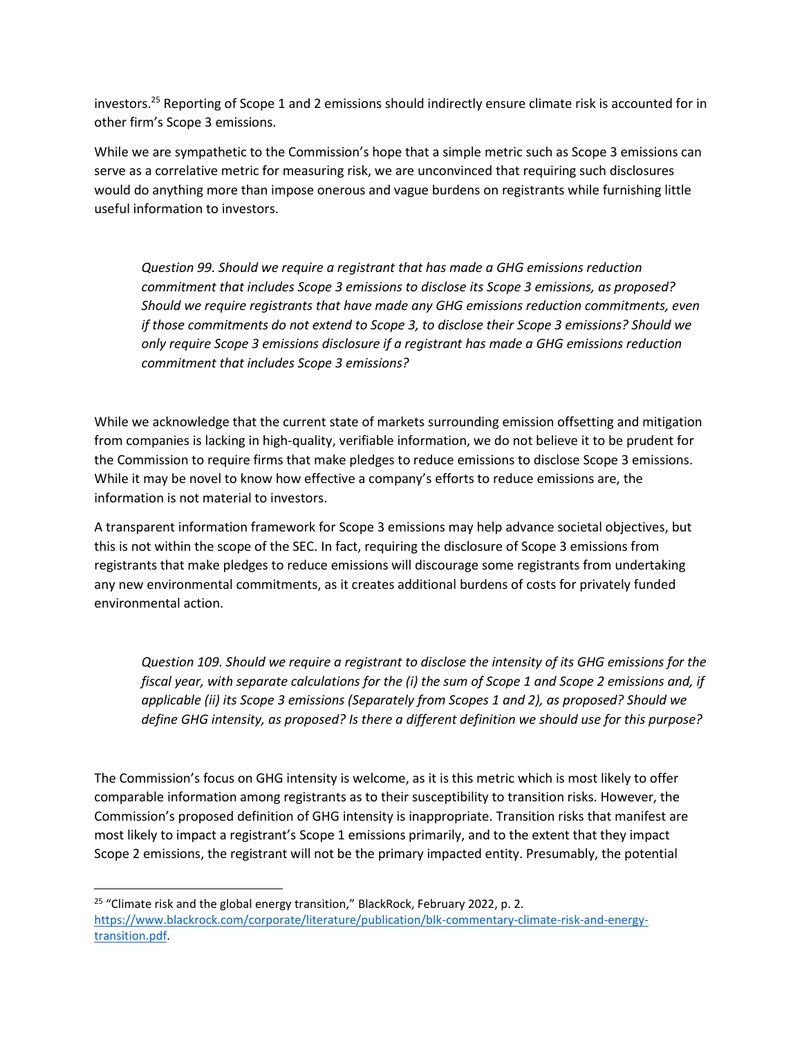investors.<sup>25</sup> Reporting of Scope 1 and 2 emissions should indirectly ensure climate risk is accounted for in other firm's Scope 3 emissions.

While we are sympathetic to the Commission's hope that a simple metric such as Scope 3 emissions can serve as a correlative metric for measuring risk, we are unconvinced that requiring such disclosures would do anything more than impose onerous and vague burdens on registrants while furnishing little useful information to investors.

*Question 99. Should we require a registrant that has made a GHG emissions reduction commitment that includes Scope 3 emissions to disclose its Scope 3 emissions, as proposed? Should we require registrants that have made any GHG emissions reduction commitments, even if those commitments do not extend to Scope 3, to disclose their Scope 3 emissions? Should we only require Scope 3 emissions disclosure if a registrant has made a GHG emissions reduction commitment that includes Scope 3 emissions?*

While we acknowledge that the current state of markets surrounding emission offsetting and mitigation from companies is lacking in high-quality, verifiable information, we do not believe it to be prudent for the Commission to require firms that make pledges to reduce emissions to disclose Scope 3 emissions. While it may be novel to know how effective a company's efforts to reduce emissions are, the information is not material to investors.

A transparent information framework for Scope 3 emissions may help advance societal objectives, but this is not within the scope of the SEC. In fact, requiring the disclosure of Scope 3 emissions from registrants that make pledges to reduce emissions will discourage some registrants from undertaking any new environmental commitments, as it creates additional burdens of costs for privately funded environmental action.

*Question 109. Should we require a registrant to disclose the intensity of its GHG emissions for the fiscal year, with separate calculations for the (i) the sum of Scope 1 and Scope 2 emissions and, if applicable (ii) its Scope 3 emissions (Separately from Scopes 1 and 2), as proposed? Should we define GHG intensity, as proposed? Is there a different definition we should use for this purpose?*

The Commission's focus on GHG intensity is welcome, as it is this metric which is most likely to offer comparable information among registrants as to their susceptibility to transition risks. However, the Commission's proposed definition of GHG intensity is inappropriate. Transition risks that manifest are most likely to impact a registrant's Scope 1 emissions primarily, and to the extent that they impact Scope 2 emissions, the registrant will not be the primary impacted entity. Presumably, the potential

<sup>&</sup>lt;sup>25</sup> "Climate risk and the global energy transition," BlackRock, February 2022, p. 2. [https://www.blackrock.com/corporate/literature/publication/blk-commentary-climate-risk-and-energy](https://www.blackrock.com/corporate/literature/publication/blk-commentary-climate-risk-and-energy-transition.pdf)[transition.pdf.](https://www.blackrock.com/corporate/literature/publication/blk-commentary-climate-risk-and-energy-transition.pdf)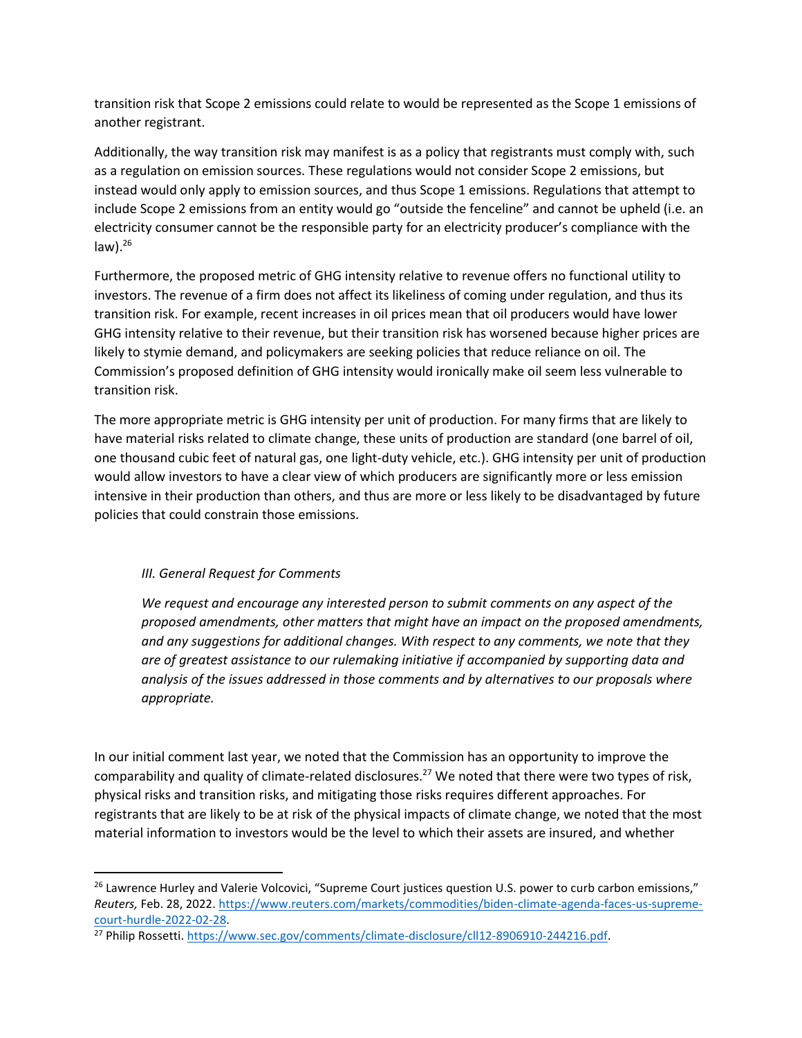transition risk that Scope 2 emissions could relate to would be represented as the Scope 1 emissions of another registrant.

Additionally, the way transition risk may manifest is as a policy that registrants must comply with, such as a regulation on emission sources. These regulations would not consider Scope 2 emissions, but instead would only apply to emission sources, and thus Scope 1 emissions. Regulations that attempt to include Scope 2 emissions from an entity would go "outside the fenceline" and cannot be upheld (i.e. an electricity consumer cannot be the responsible party for an electricity producer's compliance with the  $law)$ .<sup>26</sup>

Furthermore, the proposed metric of GHG intensity relative to revenue offers no functional utility to investors. The revenue of a firm does not affect its likeliness of coming under regulation, and thus its transition risk. For example, recent increases in oil prices mean that oil producers would have lower GHG intensity relative to their revenue, but their transition risk has worsened because higher prices are likely to stymie demand, and policymakers are seeking policies that reduce reliance on oil. The Commission's proposed definition of GHG intensity would ironically make oil seem less vulnerable to transition risk.

The more appropriate metric is GHG intensity per unit of production. For many firms that are likely to have material risks related to climate change, these units of production are standard (one barrel of oil, one thousand cubic feet of natural gas, one light-duty vehicle, etc.). GHG intensity per unit of production would allow investors to have a clear view of which producers are significantly more or less emission intensive in their production than others, and thus are more or less likely to be disadvantaged by future policies that could constrain those emissions.

## *III. General Request for Comments*

*We request and encourage any interested person to submit comments on any aspect of the proposed amendments, other matters that might have an impact on the proposed amendments, and any suggestions for additional changes. With respect to any comments, we note that they are of greatest assistance to our rulemaking initiative if accompanied by supporting data and analysis of the issues addressed in those comments and by alternatives to our proposals where appropriate.*

In our initial comment last year, we noted that the Commission has an opportunity to improve the comparability and quality of climate-related disclosures.<sup>27</sup> We noted that there were two types of risk, physical risks and transition risks, and mitigating those risks requires different approaches. For registrants that are likely to be at risk of the physical impacts of climate change, we noted that the most material information to investors would be the level to which their assets are insured, and whether

<sup>&</sup>lt;sup>26</sup> Lawrence Hurley and Valerie Volcovici, "Supreme Court justices question U.S. power to curb carbon emissions," *Reuters,* Feb. 28, 2022. [https://www.reuters.com/markets/commodities/biden-climate-agenda-faces-us-supreme](https://www.reuters.com/markets/commodities/biden-climate-agenda-faces-us-supreme-court-hurdle-2022-02-28/)[court-hurdle-2022-02-28.](https://www.reuters.com/markets/commodities/biden-climate-agenda-faces-us-supreme-court-hurdle-2022-02-28/)

<sup>27</sup> Philip Rossetti. [https://www.sec.gov/comments/climate-disclosure/cll12-8906910-244216.pdf.](https://www.sec.gov/comments/climate-disclosure/cll12-8906910-244216.pdf)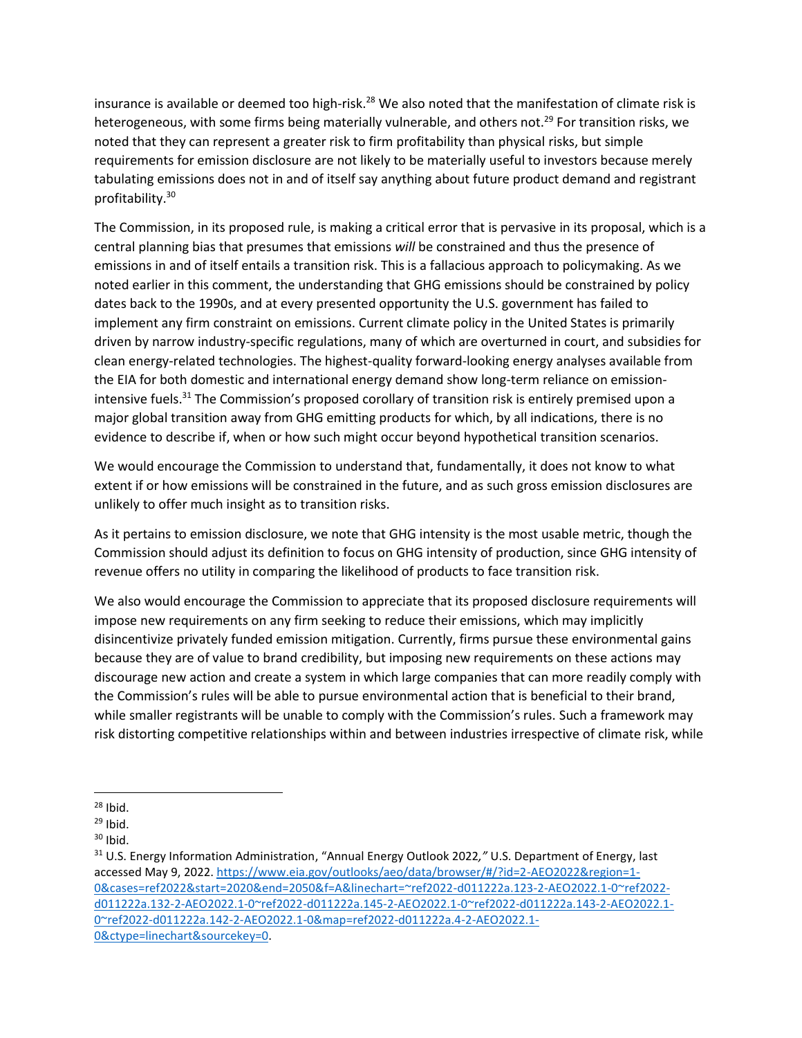insurance is available or deemed too high-risk.<sup>28</sup> We also noted that the manifestation of climate risk is heterogeneous, with some firms being materially vulnerable, and others not.<sup>29</sup> For transition risks, we noted that they can represent a greater risk to firm profitability than physical risks, but simple requirements for emission disclosure are not likely to be materially useful to investors because merely tabulating emissions does not in and of itself say anything about future product demand and registrant profitability.<sup>30</sup>

The Commission, in its proposed rule, is making a critical error that is pervasive in its proposal, which is a central planning bias that presumes that emissions *will* be constrained and thus the presence of emissions in and of itself entails a transition risk. This is a fallacious approach to policymaking. As we noted earlier in this comment, the understanding that GHG emissions should be constrained by policy dates back to the 1990s, and at every presented opportunity the U.S. government has failed to implement any firm constraint on emissions. Current climate policy in the United States is primarily driven by narrow industry-specific regulations, many of which are overturned in court, and subsidies for clean energy-related technologies. The highest-quality forward-looking energy analyses available from the EIA for both domestic and international energy demand show long-term reliance on emissionintensive fuels.<sup>31</sup> The Commission's proposed corollary of transition risk is entirely premised upon a major global transition away from GHG emitting products for which, by all indications, there is no evidence to describe if, when or how such might occur beyond hypothetical transition scenarios.

We would encourage the Commission to understand that, fundamentally, it does not know to what extent if or how emissions will be constrained in the future, and as such gross emission disclosures are unlikely to offer much insight as to transition risks.

As it pertains to emission disclosure, we note that GHG intensity is the most usable metric, though the Commission should adjust its definition to focus on GHG intensity of production, since GHG intensity of revenue offers no utility in comparing the likelihood of products to face transition risk.

We also would encourage the Commission to appreciate that its proposed disclosure requirements will impose new requirements on any firm seeking to reduce their emissions, which may implicitly disincentivize privately funded emission mitigation. Currently, firms pursue these environmental gains because they are of value to brand credibility, but imposing new requirements on these actions may discourage new action and create a system in which large companies that can more readily comply with the Commission's rules will be able to pursue environmental action that is beneficial to their brand, while smaller registrants will be unable to comply with the Commission's rules. Such a framework may risk distorting competitive relationships within and between industries irrespective of climate risk, while

 $28$  Ibid.

 $29$  Ibid.

 $30$  Ibid.

<sup>31</sup> U.S. Energy Information Administration, "Annual Energy Outlook 2022*,"* U.S. Department of Energy, last accessed May 9, 2022[. https://www.eia.gov/outlooks/aeo/data/browser/#/?id=2-AEO2022&region=1-](https://www.eia.gov/outlooks/aeo/data/browser/#/?id=2-AEO2022®ion=1-0&cases=ref2022&start=2020&end=2050&f=A&linechart=~ref2022-d011222a.123-2-AEO2022.1-0~ref2022-d011222a.132-2-AEO2022.1-0~ref2022-d011222a.145-2-AEO2022.1-0~ref2022-d011222a.143-2-AEO2022.1-0~ref2022-d011222a.142-2-AEO2022.1-0&map=ref2022-d011222a.4-2-AEO2022.1-0&ctype=linechart&sourcekey=0) [0&cases=ref2022&start=2020&end=2050&f=A&linechart=~ref2022-d011222a.123-2-AEO2022.1-0~ref2022](https://www.eia.gov/outlooks/aeo/data/browser/#/?id=2-AEO2022®ion=1-0&cases=ref2022&start=2020&end=2050&f=A&linechart=~ref2022-d011222a.123-2-AEO2022.1-0~ref2022-d011222a.132-2-AEO2022.1-0~ref2022-d011222a.145-2-AEO2022.1-0~ref2022-d011222a.143-2-AEO2022.1-0~ref2022-d011222a.142-2-AEO2022.1-0&map=ref2022-d011222a.4-2-AEO2022.1-0&ctype=linechart&sourcekey=0) [d011222a.132-2-AEO2022.1-0~ref2022-d011222a.145-2-AEO2022.1-0~ref2022-d011222a.143-2-AEO2022.1-](https://www.eia.gov/outlooks/aeo/data/browser/#/?id=2-AEO2022®ion=1-0&cases=ref2022&start=2020&end=2050&f=A&linechart=~ref2022-d011222a.123-2-AEO2022.1-0~ref2022-d011222a.132-2-AEO2022.1-0~ref2022-d011222a.145-2-AEO2022.1-0~ref2022-d011222a.143-2-AEO2022.1-0~ref2022-d011222a.142-2-AEO2022.1-0&map=ref2022-d011222a.4-2-AEO2022.1-0&ctype=linechart&sourcekey=0) [0~ref2022-d011222a.142-2-AEO2022.1-0&map=ref2022-d011222a.4-2-AEO2022.1-](https://www.eia.gov/outlooks/aeo/data/browser/#/?id=2-AEO2022®ion=1-0&cases=ref2022&start=2020&end=2050&f=A&linechart=~ref2022-d011222a.123-2-AEO2022.1-0~ref2022-d011222a.132-2-AEO2022.1-0~ref2022-d011222a.145-2-AEO2022.1-0~ref2022-d011222a.143-2-AEO2022.1-0~ref2022-d011222a.142-2-AEO2022.1-0&map=ref2022-d011222a.4-2-AEO2022.1-0&ctype=linechart&sourcekey=0) [0&ctype=linechart&sourcekey=0.](https://www.eia.gov/outlooks/aeo/data/browser/#/?id=2-AEO2022®ion=1-0&cases=ref2022&start=2020&end=2050&f=A&linechart=~ref2022-d011222a.123-2-AEO2022.1-0~ref2022-d011222a.132-2-AEO2022.1-0~ref2022-d011222a.145-2-AEO2022.1-0~ref2022-d011222a.143-2-AEO2022.1-0~ref2022-d011222a.142-2-AEO2022.1-0&map=ref2022-d011222a.4-2-AEO2022.1-0&ctype=linechart&sourcekey=0)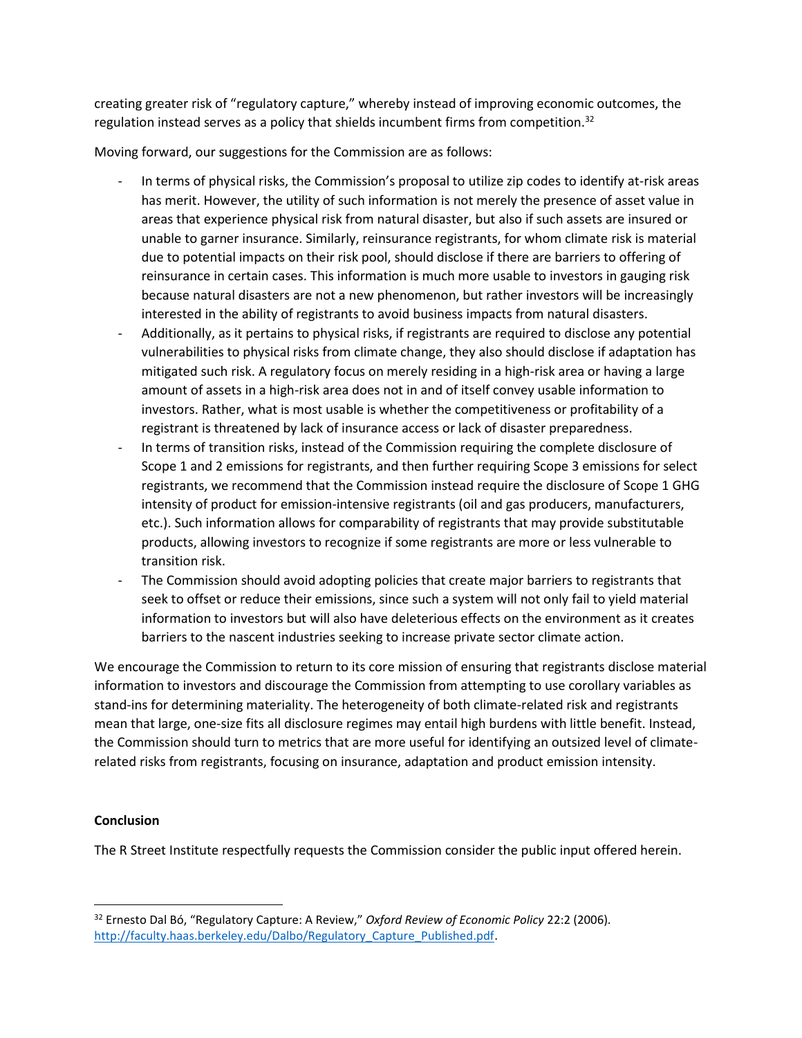creating greater risk of "regulatory capture," whereby instead of improving economic outcomes, the regulation instead serves as a policy that shields incumbent firms from competition.<sup>32</sup>

Moving forward, our suggestions for the Commission are as follows:

- In terms of physical risks, the Commission's proposal to utilize zip codes to identify at-risk areas has merit. However, the utility of such information is not merely the presence of asset value in areas that experience physical risk from natural disaster, but also if such assets are insured or unable to garner insurance. Similarly, reinsurance registrants, for whom climate risk is material due to potential impacts on their risk pool, should disclose if there are barriers to offering of reinsurance in certain cases. This information is much more usable to investors in gauging risk because natural disasters are not a new phenomenon, but rather investors will be increasingly interested in the ability of registrants to avoid business impacts from natural disasters.
- Additionally, as it pertains to physical risks, if registrants are required to disclose any potential vulnerabilities to physical risks from climate change, they also should disclose if adaptation has mitigated such risk. A regulatory focus on merely residing in a high-risk area or having a large amount of assets in a high-risk area does not in and of itself convey usable information to investors. Rather, what is most usable is whether the competitiveness or profitability of a registrant is threatened by lack of insurance access or lack of disaster preparedness.
- In terms of transition risks, instead of the Commission requiring the complete disclosure of Scope 1 and 2 emissions for registrants, and then further requiring Scope 3 emissions for select registrants, we recommend that the Commission instead require the disclosure of Scope 1 GHG intensity of product for emission-intensive registrants (oil and gas producers, manufacturers, etc.). Such information allows for comparability of registrants that may provide substitutable products, allowing investors to recognize if some registrants are more or less vulnerable to transition risk.
- The Commission should avoid adopting policies that create major barriers to registrants that seek to offset or reduce their emissions, since such a system will not only fail to yield material information to investors but will also have deleterious effects on the environment as it creates barriers to the nascent industries seeking to increase private sector climate action.

We encourage the Commission to return to its core mission of ensuring that registrants disclose material information to investors and discourage the Commission from attempting to use corollary variables as stand-ins for determining materiality. The heterogeneity of both climate-related risk and registrants mean that large, one-size fits all disclosure regimes may entail high burdens with little benefit. Instead, the Commission should turn to metrics that are more useful for identifying an outsized level of climaterelated risks from registrants, focusing on insurance, adaptation and product emission intensity.

## **Conclusion**

The R Street Institute respectfully requests the Commission consider the public input offered herein.

<sup>32</sup> Ernesto Dal Bó, "Regulatory Capture: A Review," *Oxford Review of Economic Policy* 22:2 (2006). [http://faculty.haas.berkeley.edu/Dalbo/Regulatory\\_Capture\\_Published.pdf.](http://faculty.haas.berkeley.edu/Dalbo/Regulatory_Capture_Published.pdf)